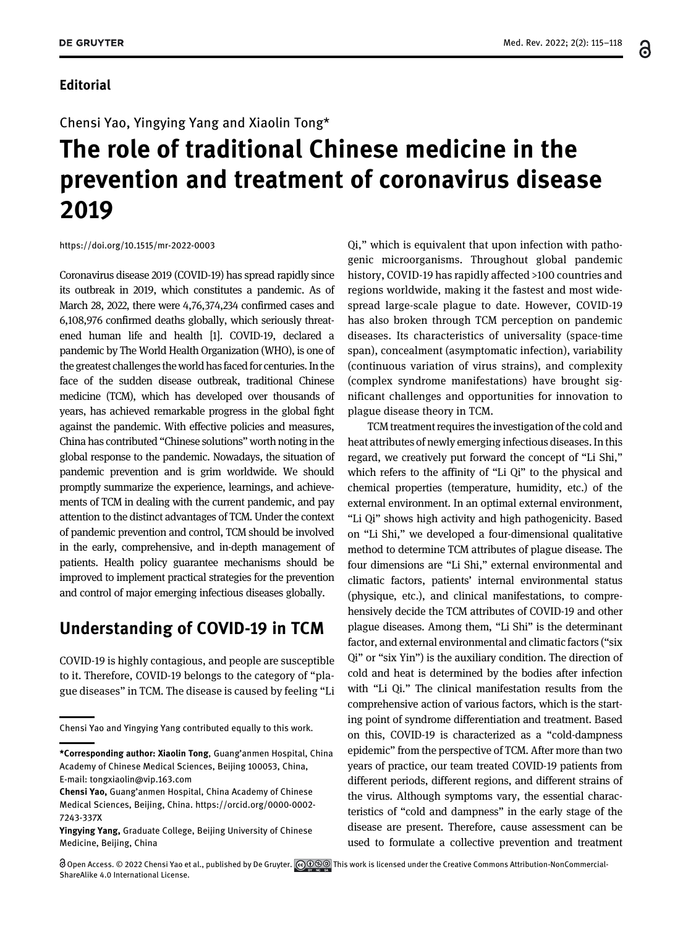### Editorial

႕

#### Chensi Yao, Yingying Yang and Xiaolin Tong\*

# The role of traditional Chinese medicine in the prevention and treatment of coronavirus disease 2019

<https://doi.org/10.1515/mr-2022-0003>

Coronavirus disease 2019 (COVID-19) has spread rapidly since its outbreak in 2019, which constitutes a pandemic. As of March 28, 2022, there were 4,76,374,234 confirmed cases and 6,108,976 confirmed deaths globally, which seriously threatened human life and health [\[1\]](#page-3-0). COVID-19, declared a pandemic by The World Health Organization (WHO), is one of the greatest challenges the world has faced for centuries. In the face of the sudden disease outbreak, traditional Chinese medicine (TCM), which has developed over thousands of years, has achieved remarkable progress in the global fight against the pandemic. With effective policies and measures, China has contributed "Chinese solutions" worth noting in the global response to the pandemic. Nowadays, the situation of pandemic prevention and is grim worldwide. We should promptly summarize the experience, learnings, and achievements of TCM in dealing with the current pandemic, and pay attention to the distinct advantages of TCM. Under the context of pandemic prevention and control, TCM should be involved in the early, comprehensive, and in-depth management of patients. Health policy guarantee mechanisms should be improved to implement practical strategies for the prevention and control of major emerging infectious diseases globally.

## Understanding of COVID-19 in TCM

COVID-19 is highly contagious, and people are susceptible to it. Therefore, COVID-19 belongs to the category of "plague diseases" in TCM. The disease is caused by feeling "Li

Qi," which is equivalent that upon infection with pathogenic microorganisms. Throughout global pandemic history, COVID-19 has rapidly affected >100 countries and regions worldwide, making it the fastest and most widespread large-scale plague to date. However, COVID-19 has also broken through TCM perception on pandemic diseases. Its characteristics of universality (space-time span), concealment (asymptomatic infection), variability (continuous variation of virus strains), and complexity (complex syndrome manifestations) have brought significant challenges and opportunities for innovation to plague disease theory in TCM.

TCM treatment requires the investigation of the cold and heat attributes of newly emerging infectious diseases. In this regard, we creatively put forward the concept of "Li Shi," which refers to the affinity of "Li Qi" to the physical and chemical properties (temperature, humidity, etc.) of the external environment. In an optimal external environment, "Li Qi" shows high activity and high pathogenicity. Based on "Li Shi," we developed a four-dimensional qualitative method to determine TCM attributes of plague disease. The four dimensions are "Li Shi," external environmental and climatic factors, patients' internal environmental status (physique, etc.), and clinical manifestations, to comprehensively decide the TCM attributes of COVID-19 and other plague diseases. Among them, "Li Shi" is the determinant factor, and external environmental and climatic factors ("six Qi" or "six Yin") is the auxiliary condition. The direction of cold and heat is determined by the bodies after infection with "Li Qi." The clinical manifestation results from the comprehensive action of various factors, which is the starting point of syndrome differentiation and treatment. Based on this, COVID-19 is characterized as a "cold-dampness epidemic" from the perspective of TCM. After more than two years of practice, our team treated COVID-19 patients from different periods, different regions, and different strains of the virus. Although symptoms vary, the essential characteristics of "cold and dampness" in the early stage of the disease are present. Therefore, cause assessment can be used to formulate a collective prevention and treatment

Chensi Yao and Yingying Yang contributed equally to this work.

<sup>\*</sup>Corresponding author: Xiaolin Tong, Guang'anmen Hospital, China Academy of Chinese Medical Sciences, Beijing 100053, China, E-mail: [tongxiaolin@vip.163.com](mailto:tongxiaolin@vip.163.com)

Chensi Yao, Guang'anmen Hospital, China Academy of Chinese Medical Sciences, Beijing, China. [https://orcid.org/0000-0002-](https://orcid.org/0000-0002-7243-337X) [7243-337X](https://orcid.org/0000-0002-7243-337X)

Yingying Yang, Graduate College, Beijing University of Chinese Medicine, Beijing, China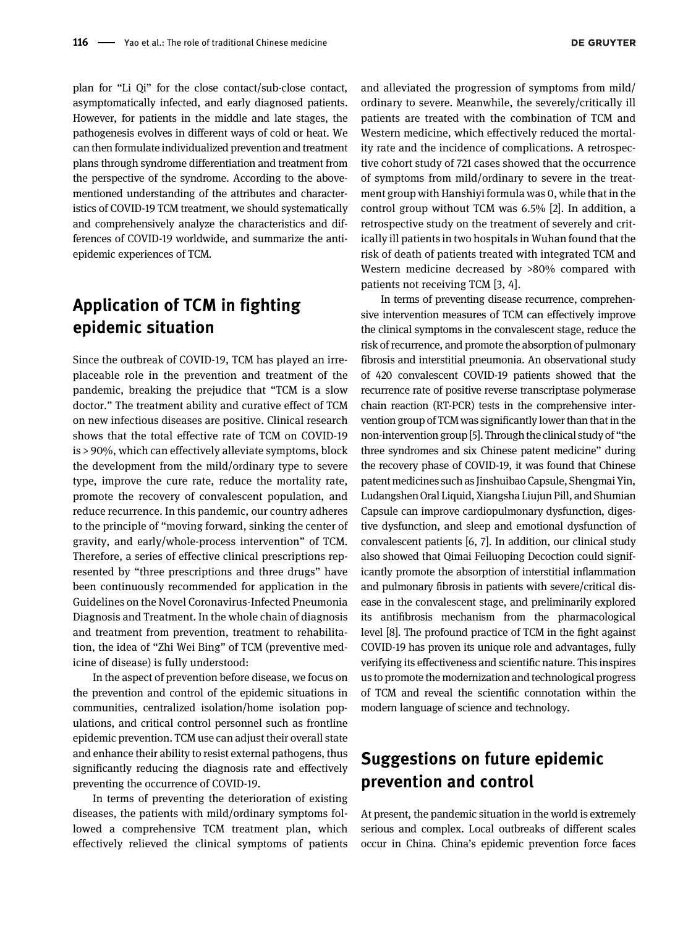plan for "Li Qi" for the close contact/sub-close contact, asymptomatically infected, and early diagnosed patients. However, for patients in the middle and late stages, the pathogenesis evolves in different ways of cold or heat. We can then formulate individualized prevention and treatment plans through syndrome differentiation and treatment from the perspective of the syndrome. According to the abovementioned understanding of the attributes and characteristics of COVID-19 TCM treatment, we should systematically and comprehensively analyze the characteristics and differences of COVID-19 worldwide, and summarize the antiepidemic experiences of TCM.

# Application of TCM in fighting epidemic situation

Since the outbreak of COVID-19, TCM has played an irreplaceable role in the prevention and treatment of the pandemic, breaking the prejudice that "TCM is a slow doctor." The treatment ability and curative effect of TCM on new infectious diseases are positive. Clinical research shows that the total effective rate of TCM on COVID-19 is > 90%, which can effectively alleviate symptoms, block the development from the mild/ordinary type to severe type, improve the cure rate, reduce the mortality rate, promote the recovery of convalescent population, and reduce recurrence. In this pandemic, our country adheres to the principle of "moving forward, sinking the center of gravity, and early/whole-process intervention" of TCM. Therefore, a series of effective clinical prescriptions represented by "three prescriptions and three drugs" have been continuously recommended for application in the Guidelines on the Novel Coronavirus-Infected Pneumonia Diagnosis and Treatment. In the whole chain of diagnosis and treatment from prevention, treatment to rehabilitation, the idea of "Zhi Wei Bing" of TCM (preventive medicine of disease) is fully understood:

In the aspect of prevention before disease, we focus on the prevention and control of the epidemic situations in communities, centralized isolation/home isolation populations, and critical control personnel such as frontline epidemic prevention. TCM use can adjust their overall state and enhance their ability to resist external pathogens, thus significantly reducing the diagnosis rate and effectively preventing the occurrence of COVID-19.

In terms of preventing the deterioration of existing diseases, the patients with mild/ordinary symptoms followed a comprehensive TCM treatment plan, which effectively relieved the clinical symptoms of patients and alleviated the progression of symptoms from mild/ ordinary to severe. Meanwhile, the severely/critically ill patients are treated with the combination of TCM and Western medicine, which effectively reduced the mortality rate and the incidence of complications. A retrospective cohort study of 721 cases showed that the occurrence of symptoms from mild/ordinary to severe in the treatment group with Hanshiyi formula was 0, while that in the control group without TCM was 6.5% [\[2](#page-3-1)]. In addition, a retrospective study on the treatment of severely and critically ill patients in two hospitals in Wuhan found that the risk of death of patients treated with integrated TCM and Western medicine decreased by >80% compared with patients not receiving TCM [\[3,](#page-3-2) [4](#page-3-3)].

In terms of preventing disease recurrence, comprehensive intervention measures of TCM can effectively improve the clinical symptoms in the convalescent stage, reduce the risk of recurrence, and promote the absorption of pulmonary fibrosis and interstitial pneumonia. An observational study of 420 convalescent COVID-19 patients showed that the recurrence rate of positive reverse transcriptase polymerase chain reaction (RT-PCR) tests in the comprehensive intervention group of TCM was significantly lower than that in the non-intervention group [\[5\]](#page-3-4). Through the clinical study of "the three syndromes and six Chinese patent medicine" during the recovery phase of COVID-19, it was found that Chinese patent medicines such as Jinshuibao Capsule, Shengmai Yin, Ludangshen Oral Liquid, Xiangsha Liujun Pill, and Shumian Capsule can improve cardiopulmonary dysfunction, digestive dysfunction, and sleep and emotional dysfunction of convalescent patients [\[6,](#page-3-5) [7\]](#page-3-6). In addition, our clinical study also showed that Qimai Feiluoping Decoction could significantly promote the absorption of interstitial inflammation and pulmonary fibrosis in patients with severe/critical disease in the convalescent stage, and preliminarily explored its antifibrosis mechanism from the pharmacological level [\[8](#page-3-7)]. The profound practice of TCM in the fight against COVID-19 has proven its unique role and advantages, fully verifying its effectiveness and scientific nature. This inspires us to promote the modernization and technological progress of TCM and reveal the scientific connotation within the modern language of science and technology.

## Suggestions on future epidemic prevention and control

At present, the pandemic situation in the world is extremely serious and complex. Local outbreaks of different scales occur in China. China's epidemic prevention force faces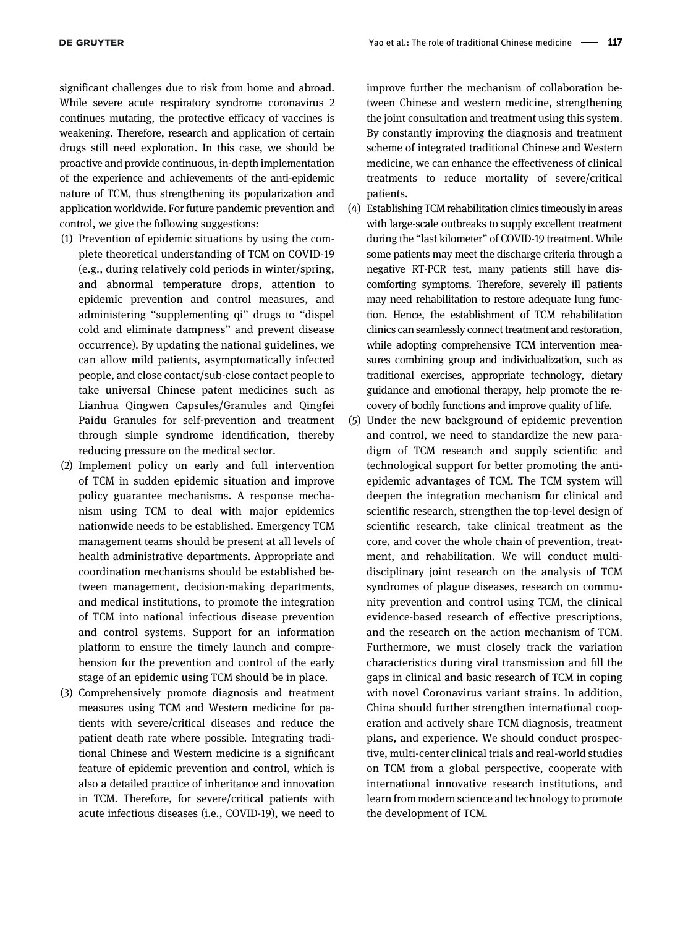significant challenges due to risk from home and abroad. While severe acute respiratory syndrome coronavirus 2 continues mutating, the protective efficacy of vaccines is weakening. Therefore, research and application of certain drugs still need exploration. In this case, we should be proactive and provide continuous, in-depth implementation of the experience and achievements of the anti-epidemic nature of TCM, thus strengthening its popularization and application worldwide. For future pandemic prevention and control, we give the following suggestions:

- (1) Prevention of epidemic situations by using the complete theoretical understanding of TCM on COVID-19 (e.g., during relatively cold periods in winter/spring, and abnormal temperature drops, attention to epidemic prevention and control measures, and administering "supplementing qi" drugs to "dispel cold and eliminate dampness" and prevent disease occurrence). By updating the national guidelines, we can allow mild patients, asymptomatically infected people, and close contact/sub-close contact people to take universal Chinese patent medicines such as Lianhua Qingwen Capsules/Granules and Qingfei Paidu Granules for self-prevention and treatment through simple syndrome identification, thereby reducing pressure on the medical sector.
- (2) Implement policy on early and full intervention of TCM in sudden epidemic situation and improve policy guarantee mechanisms. A response mechanism using TCM to deal with major epidemics nationwide needs to be established. Emergency TCM management teams should be present at all levels of health administrative departments. Appropriate and coordination mechanisms should be established between management, decision-making departments, and medical institutions, to promote the integration of TCM into national infectious disease prevention and control systems. Support for an information platform to ensure the timely launch and comprehension for the prevention and control of the early stage of an epidemic using TCM should be in place.
- (3) Comprehensively promote diagnosis and treatment measures using TCM and Western medicine for patients with severe/critical diseases and reduce the patient death rate where possible. Integrating traditional Chinese and Western medicine is a significant feature of epidemic prevention and control, which is also a detailed practice of inheritance and innovation in TCM. Therefore, for severe/critical patients with acute infectious diseases (i.e., COVID-19), we need to

improve further the mechanism of collaboration between Chinese and western medicine, strengthening the joint consultation and treatment using this system. By constantly improving the diagnosis and treatment scheme of integrated traditional Chinese and Western medicine, we can enhance the effectiveness of clinical treatments to reduce mortality of severe/critical patients.

- (4) Establishing TCM rehabilitation clinics timeously in areas with large-scale outbreaks to supply excellent treatment during the "last kilometer" of COVID-19 treatment. While some patients may meet the discharge criteria through a negative RT-PCR test, many patients still have discomforting symptoms. Therefore, severely ill patients may need rehabilitation to restore adequate lung function. Hence, the establishment of TCM rehabilitation clinics can seamlessly connect treatment and restoration, while adopting comprehensive TCM intervention measures combining group and individualization, such as traditional exercises, appropriate technology, dietary guidance and emotional therapy, help promote the recovery of bodily functions and improve quality of life.
- (5) Under the new background of epidemic prevention and control, we need to standardize the new paradigm of TCM research and supply scientific and technological support for better promoting the antiepidemic advantages of TCM. The TCM system will deepen the integration mechanism for clinical and scientific research, strengthen the top-level design of scientific research, take clinical treatment as the core, and cover the whole chain of prevention, treatment, and rehabilitation. We will conduct multidisciplinary joint research on the analysis of TCM syndromes of plague diseases, research on community prevention and control using TCM, the clinical evidence-based research of effective prescriptions, and the research on the action mechanism of TCM. Furthermore, we must closely track the variation characteristics during viral transmission and fill the gaps in clinical and basic research of TCM in coping with novel Coronavirus variant strains. In addition, China should further strengthen international cooperation and actively share TCM diagnosis, treatment plans, and experience. We should conduct prospective, multi-center clinical trials and real-world studies on TCM from a global perspective, cooperate with international innovative research institutions, and learn from modern science and technology to promote the development of TCM.